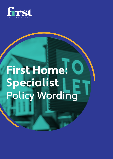

# **First Home: Specialist** Policy Wording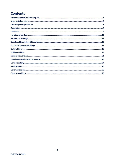## **Contents**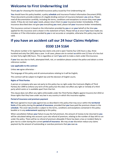## **Welcome to First Underwriting Ltd**

Thank **you** for choosing this household insurance policy issued by First Underwriting Ltd.

**You** should have this policy booklet, a policy **schedule** and Insurance Product Information Document (IPID). These documents provide evidence of a legally binding contract of insurance between y**ou** and **us**. Please read all documentation carefully, including the terms, conditions and exceptions to ensure they meet **your**  needs. If they do not meet **your** needs, please return them to **your** insurance broker immediately. If the insurance described does not give **you** everything **you** need, please tell **your** insurance broker immediately.

This insurance contract is based on the information provided by **you** or on **your** behalf at the time **you**  applied for this insurance and is shown in the statement of facts. Please tell **us** at once if **you** have made any mistakes or if the information provided by **you** is not accurate or complete, otherwise this policy may not be valid.

# **If you have an accident call our 24 hour Claims Helpline: 0330 124 5164**

This phone number is for registering new claims only and is open Twenty four (24) hours a day, three hundred and sixty five (365) days a year. In all cases, please aim to contact **us** within one (1) hour of a loss but no later forty-eight (48) hours. This is regardless or not if **you** wish to make a claim under thisinsurance.

If **your** loss was due to theft, attempted theft, riot, or vandalism please contact the police and obtain a crime reference number.

#### **Law applicable to this contract**

Unless **we** agree otherwise: -

The language of this policy and all communications relating to it will be English;

This contract will be subject to English law and the decision of English courts.

#### **Rights of Third Parties**

A person or company who was not party to this policy has no right under the Contracts (Rights of Third Parties) Act 1999 to enforce any term of this policy but this does not affect any right or remedy of a third party which exists or is available apart from that Act.

This clause does not affect any rights enforceable under the Third Parties (Rights against Insurers) Act 2010 or those rights that they have under any law in any country in which this insurance applies.

#### **Period of insurance and premium payment**

**We** have agreed to insure **you** against loss as described in this policy that may occur within the **territorial limits** of the policy during the **period of insurance**, provided that **you** have paid the premium shown in the **schedule**. The cover **we** provide is subject to the terms, conditions and exceptions contained in this policy booklet or in any **endorsement** applying to this policy.

When cancellation follows **your** failure to pay the full premium, the amount of money to be returned to **you**  will be calculated taking into account a pro rata refund of premium, relating to the number of days left to run under the policy. There will be no refund of premium allowable if there has been a loss or incident likely to give rise to a claim during the current **period of insurance**. We may at **our** discretion reduce any claims payment by the amount of outstanding or overdue premiums that **you** owe **us**.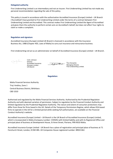#### **Delegated authority**

First Underwriting Limited is an intermediary and not an insurer. First Underwriting Limited has not made any personal recommendation regarding the sale of this policy.

This policy is issued in accordance with the authorisation Accredited Insurance (Europe) Limited – UK Branch ('Accredited') have granted to First Underwriting Limited under the terms of a contract between First Underwriting Limited and Accredited. This contract makes First Underwriting Limited the Agent of Accredited and gives them the authority to perform certain acts on Accredited's behalf, but does not affect Your rights to claim or make a complaint.

#### **Regulation and signature**

Accredited Insurance (Europe) Limited-UK Branch is licenced in accordance with the Insurance Business Act, 1988 (Chapter 403, Laws of Malta) to carry out insurance and reinsurance business.

First Underwriting Ltd act as an administrator on behalf of Accredited Insurance (Europe) Limited – UK Branch.

Colin Johnson Director Accredited Insurance (Europe) Limited - UK Branch

tode

Tom Donachie Managing Director First Underwriting Limited.

**Regulation:**

Malta Financial Services Authority Triq l-Imdina, Zone 1 Central Business District, Birkirkara CBD 1010

Authorised and regulated by the Malta Financial Services Authority. Authorised by the Prudential Regulation Authority and with deemed variation of permission. Subject to regulation by the Financial Conduct Authority and limited regulation by the Prudential Regulation Authority. The nature and extent of consumer protections may differ from those for firms based in the UK. Details of the Temporary Permissions Regime, which allows EEA-based firms to operate in the UK for a limited period while seeking full authorisation, are available on the Financial Conduct Authority's website.

Accredited Insurance (Europe) Limited – UK Branch is the UK Branch of Accredited Insurance (Europe) Limited, which is incorporated in Malta (Company number: C59505) with limited liability and with its Registered Office and principal place of business at Development House, St Anne Street, Floriana, FRN 9010 Malta.

Accredited Insurance Europe Limited - UK Branch has a place of registration and principal place of business at 71 Fenchurch Street, London, EC3M 4BS. UK Companies House registered number: BR021362.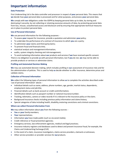## **Important information**

#### **Data Protection**

First Underwriting Ltd is the data controller and processor in respect of **your** personal data. This means that **we** decide how **your** personal data is processed and for what purposes, and process **your** personal data.

**We** comply with **our** obligations under the GDPR by keeping personal data up to date, by storing and destroying it securely, by not collecting or retaining excessive amounts of data, by protecting personal data from loss, misuse, unauthorised access and disclosure and by ensuring that appropriate technical measures are in place to protect personal data.

#### **Use of Personal Information**

**We** use personal information for the following purposes: -

- To assess **your** request for insurance, provide a quotation and administer **your** policy;
- To undertake the performance of a contract of insurance to which **you** are a party;
- To administer **your** claims and third partyclaims;
- To prevent fraud and financial crime;
- statistical analysis and managementinformation;
- audits, system integrity checking and riskmanagement;
- To send marketing information about **our** products and services if **we** have received specific consent.

There is no obligation to provide **us** with personal information, but if **you** do not, **we** may not be able to provide products or services or administer claims.

#### **Profiling and Automated Decision Making**

**We** may use automated decision making, which includes profiling in **our** assessment of insurance risks and for the administration of policies. This is used to help **us** decide whether to offer insurance, determine prices and validate claims.

#### **Collection of Personal Information**

**We** collect the following types of personal information to allow **us** to complete the activities described under 'use of personal information' above: -

- Individual details such as name, address, phone numbers, age, gender, marital status, dependents, employment status and job title;
- Financial details such as bank account or credit cardinformation;
- Identification details such as passport number or national insurance number;
- Tracking, telematics, camera or video records if it is relevant to the insurance policy or the claim;
- Background insurance checks including previous policy information and claims history;
- Special categories of data including health, disability,motoring convictions and criminal convictions.

#### **Where we collect Personal Information From**

**We** may collect information about **you** from the following sources: -

- **You** or **your** familymembers;
- **Your** representatives;
- Information **you** have made public (such as via social media);
- Credit reference or fraud prevention agencies;
- Emergency services, law enforcement agencies, medical and legal practices;
- Insurance industry registers and databases used to detect and prevent insurance fraud, for example, the Claims and Underwriting Exchange (CUE)
- In the event of a claim, insurance investigators, claims service providers, claimants or witnesses;
- Other service providers or provider services for **our**products.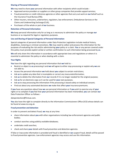#### **Sharing of Personal Information**

**We** may need to share **your** personal information with other recipients which could include: -

- Approved service providers or suppliers or other group companies that provide support services;
- Fraud prevention or credit reference agencies or other agencies that carry out work on **our** behalf such as the Insurance Fraud Bureau (IFB);
- Other insurers, reinsurers, underwriters, regulators, law enforcement, Ombudsman Services or the Claims and Underwriting Exchange (CUE);
- Purchasers of the whole or part of **our** business.

#### **Retention of Personal Information**

**We** keep personal information only for as long as is necessary to administer the policy or manage **our** business or as required for legal or regulatory purposes.

#### **Use and Sharing of Special Categories of Personal Information**

Special categories of personal information under Data Protection Legislation include medical history, disabilities, motoring or criminal convictions. **We** may need to collect and process this information for the purposes of evaluating the risk and/or administering **your** policy or a claim. **You** or any person covered under this policy must provide explicit verbal or written confirmation to such information being processed by **us**.

**We** will only share this information in accordance with appropriate laws and regulations or where it is essential to administer the policy or when dealing with a claim.

#### **Your Rights**

**You** have the right regarding any personal information that **we** hold to: -

- Restrict or object to **us** processing it and **we** will agree to either stop processing or explain why **we** are not able to;
- Access the personal information **we** hold about **you** subject to certain restrictions;
- Ask **us** to update any data that is incomplete or correct any inaccurateinformation;
- Ask **us** to delete the information from **our** records if it is no longer needed for the original purpose;
- Ask **us** for an electronic copy so it can be used for **your** own purposes;
- Ask **us** to stop processing the information if the processing is based solely on individual consent;
- Find out about any automated decisions **we** make that affect **your** insurance premiums.

If **you** have any questions about how **we** use personal information or if **you** wish to exercise any of **your**  rights or to complain if **you** feel that **your** personal information has been mishandled, **you** can contact **our**  Data Protection Officer as follows: -

#### dataprotection@firstuw.com.

**You** also have the right to complain directly to the Information Commissioners Office (ICO) whose details can be found at www.ico.org.uk.

#### **Fraud prevention and detection**

In order to prevent and detect fraud, **we** may at any time:

- share information about **you** with other organisations including law enforcement agencies and public bodies;
- conduct searches using publicly available databases;
- undertake credit searches:
- check and share **your** details with fraud prevention and detection agencies.

If false or inaccurate information is provided and fraud is identified or **we** suspect fraud, details will be passed to fraud prevention agencies. Law enforcement agencies may access and use this information.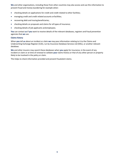**We** and other organisations, including those from other countries may also access and use this information to prevent fraud and money laundering for example when:

- checking details on applications for credit and credit related to other facilities;
- managing credit and credit related accounts orfacilities;
- recovering debt and tracing beneficiaries;
- checking details on proposals and claims for all types of insurance;
- checking details of job applicants andemployees.

**You** can contact **us** if **you** want to receive details of the relevant databases, registers and fraud prevention agencies that **we** use.

#### **Claims history**

When **you** tell **us** about an incident or claim **we** may pass information relating to it to the Claims and Underwriting Exchange Register (CUE), run by Insurance Database Services Ltd (IDSL), or another relevant database.

**We** and other insurers may search these databases when **you** apply for insurance, in the event of any incident or claim or at time of renewal to validate **your** claims history or that of any other person or property likely to be involved in the policy or claim.

This helps to check information provided and prevent fraudulent claims.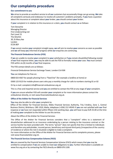## **Our complaints procedure**

#### **Our commitment to you**

**We** strive to provide an excellent service to all **our** customers but occasionally things can go wrong. **We** take all complaints seriously and endeavour to resolve all customers' problems promptly. If **you** have a question about this insurance or complaint about **your** broker, **you** should contact **your** broker.

If **your** complaint is in relation to this insurance or a claim, **you** should contact **us** as follows:

Tom Donachie Managing Director First Underwriting Ltd Part Level 15 The Gherkin 30, St Mary Axe London EC3A 8EP

If **we** cannot resolve **your** complaint straight away, **we** will aim to resolve **your** concerns as soon as possible and **we** will keep **you** informed of progress while **our** enquiries are continuing.

#### **The Financial Ombudsman Service (FOS)**

If **we** are unable to resolve **your** complaint to **your** satisfaction or if **you** remain dissatisfied following receipt of **our** final response letter, **you** may be able to ask the FOS to formally review **your** case. **You** must contact FOS within six (6) months of **our** final response.

The FOS contact details are as follows:

Financial Ombudsman Service Exchange Tower, London E14 9SR

**You** can telephone for free on:

0800 023 4567 for people phoning from a "fixed line" (for example a landline at home) or

0300 123 9123 for mobile-phone users who pay a monthly charge for calls to numbers starting 01 or 02

Or by e-mail: complaint.info@financial-ombudsman.org.uk

This is a free and impartial service and **you** are entitled to contact the FOS at any stage of **your** complaint.

If **you** are unsure whether FOS will consider **your** complaint or for more information please contact the ombudsman directly, or visit www.financialombudsman.org.uk.

#### **Office of the Arbiter for Financial Services**

**You** may also be able to refer **your** complaint to:

Office of the Arbiter for Financial Services, Malta Financial Services Authority, Triq l-Imdina, Zone 1, Central Business District, Birkirkara, CBD 1010, Malta, telephone (+356) 212 49245 if **you** are not satisfied with **our** final response or **we** have not responded within fifteen (15) working days. **you** will have to pay EUR 25.00 at the time of making **your** complaint to the Arbiter to use this service.

About the Office of the Arbiter for Financial Services

The Office of the Arbiter for Financial Services considers that a "complaint" refers to a statement of dissatisfaction addressed to an insurance undertaking by a person relating to the insurance contract or the service he/she has been provided with. The terms "person" does not specify that this is limited to individuals and therefore any policyholder, insured person, beneficiary and injured third party (irrespective of the country of residence or where the risk in situated) is eligible to make a complaint.

For more information on the Office of the Arbiter for Financial Services and its complaints process, please visit www.financialarbiter.org.mt.

#### **The Financial Services Compensation Scheme (FSCS)**

**We** are covered by the Financial Services Compensation Scheme (FSCS) which means that **you** may be entitled to compensation if **we** are unable to meet **our** obligations to **you**. Further information is available on www.fscs.org.uk or by contacting the FSCS directly on 0800 678 1100.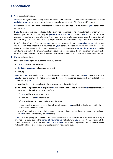## **Cancellation**

**1** Your cancellation rights:

**You** have the right to immediately cancel the cover within fourteen (14) days of the commencement of the **period of insurance** or the receipt of this policy, whichever is the later (the 'cooling off period');

**You** should exercise this right by contacting the entity that effected this insurance on **your** behalf or by writing to **us**;

If **you** do exercise this right, and provided no claim has been made or no circumstance has arisen which is likely to give rise to a claim during the **period of insurance**, **we** will return to **you** a proportion of the premium calculated on a pro-rata basis. The amount of premium to be refunded under this condition will be reduced by all unpaid premiums or unpaid premium instalments outstanding atthe date of cancellation;

If the "cooling off period" has expired, **you** may cancel the policy during the **period of insurance** in writing via the entity that effected this insurance on **your** behalf. Provided no claim has been made or no circumstance has arisen which is likely to give rise to a claim during the **period of insurance**, **you** will be entitled to a refund of the premium paid calculated on a pro-rata basis. The amount of any premium to be refunded underthis condition will be reduced by all unpaid premiums or unpaid premium instalments due.

**2 Our** cancellation rights:

In addition to **our** rights set out in the following clauses:

- a) **Your** duty of fair presentation;
- b) **Period of insurance** and premium payment;
- c) Fraud;

**We** may, if **we** have a valid reason, cancel this insurance at any time by sending **you** notice in writing to **your** last known address. The notice will include the reason for the cancellation, which may include but are not limited to **your**:

- a) continued failure to comply with the terms and conditions of thispolicy;
- b) failure to co-operate with **us** or provide **us** with information or documentation **we** reasonably require where such the lack of cooperationaffects:
	- i) **our** ability to process a claim; or
	- ii) the defence of **our** interests; or
	- iii) the making of risk based underwritingdecisions.

In this case, the notice of cancellation will be withdrawn if **you** provide the details required in the letter within the notice period;

c) use of threatening, abusive or intimidating behaviour or inappropriate language towards, or bullying of **our** staff or anyone acting on **our**behalf;

If **we** cancel this policy, provided no claim has been made or no circumstance has arisen which is likely to give rise to a claim during the **period of insurance we** will return to **you** a proportionate return of the premium in respect of the unexpired **period of insurance**. The amount of premium refund payable will be reduced by all unpaid premiums or unpaid premium instalments due.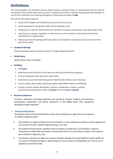## **Definitions**

This Policy booklet, the Schedule and any Memorandum attached hereto or Endorsement hereon shall be considered to be one document and any word or expression to which a specific meaning has been attached in any of them shall bear such meaning throughout. Thesewordsare shownin **bold**.

Also where the context requires:

- $\triangleright$  words in the singular will include the plural and vice versa; and
- $\triangleright$  words expressed in one gender shall include all genders; and
- $\triangleright$  references to 'a person' shall include any individual, company, partnership or any other legal entity;
- $\triangleright$  references to a statute, regulation or trade terms of contract will be construed to include all its amendments or replacements.
- $\triangleright$  Please note that all headings within the policy are included for convenience only and will not form part of this policy

#### • **Accidental damage**

Physical damage caused as a direct result of a single unexpected event.

#### • **Bodily Injury**

Death, illness, injury or disease.

#### • **Buildings**

- Ø The **home**;
- $\triangleright$  greenhouses and sheds all on the same site and used fordomestic purposes;
- $\triangleright$  central-heating oil tanks, gas tanks, septic tanks;
- $\triangleright$  hard tennis courts, fixed swimming pools, fixed hot tubs, fixed jacuzzis, fixed spas;
- $\triangleright$  terraces, patios, drives, paths, walls, fences, gates, and landlord's fixtures and fittings;
- $\triangleright$  Carpets, curtains, blinds, dishwashers, freezers, refrigerators, cookers, washing machines and tumble dryers when the **home** islet out by **you** to **tenants**.

#### • **Business equipment**

Furniture, computers (including keyboards and monitors), printers, modems, fax machines, photocopiers, typewriters and phone equipment in the **home** (other than equipment belonging to **your** employer)

#### • **Communicable disease**

Any disease which can be transmitted by means of any substance or agent from any organism to another organism where:

- $\triangleright$  the substance or agent includes, but is not limited to, a virus, bacterium, parasite or other organism or any variation thereof, whether deemed living or not, and
- $\triangleright$  the method of transmission, whether direct or indirect, includes but is not limited to, airborne transmission, bodily fluid transmission, transmission from or to any surface or object, solid, liquid or gas or between organisms, and
- $\triangleright$  the disease, substance or agent can cause or threaten damage to human health or human welfare or can cause or threaten damage to, deterioration of, loss of value of, marketability of or loss of use of property insured hereunder,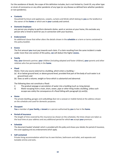For the avoidance of doubt, the scope of this definition includes, but is not limited to, Covid-19, any other type or strain of coronavirus or any other pandemic of any type (or any disease as defined here whether pandemic or non-pandemic).

#### • **Contents**

Household furniture and appliances, carpets, curtains and blinds which belong to **you** as the landlord or the owner of the **home** or which are in **your** custody and control.

#### • **Domestic Employee**

any person you employ to perform domestic duties, work or services at your home, this excludes any person who is hired to work for you in connection with your business.

#### • **Endorsement**

An additional clause that either alters the details shown in the **schedule** or a term or terms contained in this policy booklet.

#### • **Excess**

The first amount **you** must pay towards each claim. If a claim resulting from the same incident is made under more than one section of this policy, **we** will deduct the higher **excess.**

#### • **Family**

**You**, **your** domestic partner, **your** children (including adopted and foster children), **your** parents and other relatives who live permanently in the **home**.

#### • **Flood**

Water, from any source external to a building, which enters a building –

- (a) At or below ground level, or above ground level, provided that part of the body of such water is at ground level; and
- (b) Does so with a volume, weight or force which is substantial and abnormal.

The following does not constitute a flood:

- i) The gradual seepage or percolation of water into a building (such as rising damp);
- ii) Water escaping from a main, drain, sewer, pipe or other thing inside a building, unless such escape was solely the consequence of a flood falling with paragraph (a) and(b).

#### • **Home**

The private dwelling, garages and outbuildings (but not a caravan or mobile home) at the address shown on the schedule and used for domestic purposes.

#### • **Occupant**

**You** a member of **your family,** a **tenant** or a person authorised by **you** to live in the **home**.

#### • **Period of insurance**

The length of time covered by this insurance (as shown on the schedule), the times shown are taken as the local time at your address and any additional period for which **we** accept **your** premium.

#### • **Schedule**

The document headed 'schedule' which is provided with this policy and shows your details, the period of insurance, the cover applying and any endorsements which apply.

#### • **Self-contained**

Private living accommodation which has its own kitchen, bathroom and toilet, and separate and lockable entries and exits.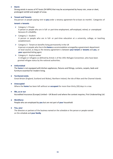#### • **Storm**

Strong winds in excess of 47 knots (54 MPH) that may be accompanied by heavy rain, snow or sleet, prolonged rainfall and weight of snow.

#### • **Tenant and Tenants**

Any person or people paying rent to **you** under a tenancy agreement for at least six months'. Categories of

#### **tenant** or**tenants**

- $\triangleright$  Category 1- Private A person or people who are in full- or part-time employment, self-employed, retired, or unemployed because of a disability.
- $\triangleright$  Category 2 Student

A person or people who are in full- or part-time education at a university, college, or teaching establishment.

#### $\triangleright$  Category 3 - Tenant on benefits living permanently in the UK A person or people who live inthe**home**as accommodation arrangedbya government department or local council, as long as the tenancy agreement is between **your tenant** or **tenants** and **you**, or **your** appointed letting agent.

 $\triangleright$  Category 4 - Asylum seeker A refugee or refugees as defined by Article 1 of the 1951 Refugee Convention, who have been granted refugee status by the national authorities.

#### • **Unfurnished**

The **home** is not equipped with kitchen appliances, fixtures and fittings, curtains, carpets, beds and furniture essential for modern living.

#### • **Territorial Limits**

Great Britain (England, Scotland and Wales), Northern Ireland, the Isle of Man and the Channel Islands.

#### • **Unoccupied**

Where the **home** has been left without an **occupant** for more than thirty (30) days in a row.

#### • **We, us or our**

Accredited Insurance (Europe) Limited – UK Branch and where the context requires, First Underwriting Ltd.

#### • **Workforce**

People who are employed by **you** but are not part of **your** household

#### • **You, your**

The directors or partners of the business named on the schedule or the person or people named on the schedule and **your family**.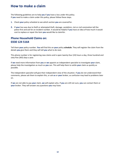## **How to make a claim**

The following guidelines are to help **you** if **you** have a loss under this policy. If **you** need to make a claim under this policy, please follow these steps.

- **1.** Check **your** policy schedule to see which section **you** are covered for.
- **2.** If **your** loss was due to theft or attempted theft, damage, vandalism, riot or civil commotion tell the police first and ask for an incident number. It would be helpful if **you** have an idea of how much it would cost to replace or repair the item **you** would like to claimfor.

## **Phone Household Claims on: 0330 124 5164**

Tell them **your** policy number. **You** will find this on **your** policy **schedule**. They will register the claim from the details **you** give them and they will tell **you** what to do next.

This phone number is for registering new claims and is open twenty-four (24) hours a day, three hundred and sixty-five (365) days a year.

If **we** need more information from **you** or **we** appoint an independent specialist to investigate **your** claim, please help the investigation as much as **you** can. This will help them to settle **your** claim as quickly as possible.

The independent specialist will give their independent view of the situation. If **you** do not understand their comments, please ask them to explain this, or ask **us** or **your** broker, as confusion may lead to problems later on.

If **we** are not able to pay **your** claim, **we** will explain why. If **you** are still not sure, **you** can contact them or **your** broker. They will answer any questions **you** may have.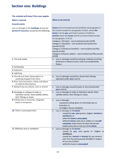# **Section one: Buildings**

| The schedule will show if the cover applies                                                                    |                                                                                                                                                                                                                                                                                                                                                                                                                                                                                                                                                     |  |
|----------------------------------------------------------------------------------------------------------------|-----------------------------------------------------------------------------------------------------------------------------------------------------------------------------------------------------------------------------------------------------------------------------------------------------------------------------------------------------------------------------------------------------------------------------------------------------------------------------------------------------------------------------------------------------|--|
| <b>What is covered</b>                                                                                         | <b>What is not covered</b>                                                                                                                                                                                                                                                                                                                                                                                                                                                                                                                          |  |
| <b>Insured events</b>                                                                                          |                                                                                                                                                                                                                                                                                                                                                                                                                                                                                                                                                     |  |
| Loss or damage to the <b>buildings</b> during the<br>period of insurance caused by the following:              | <b>Excess</b> of one hundred pounds (£100) for all paragraphs in<br>this section except for paragraphs 13 &14, unless the<br>home is let by you and lived in partly or totally by<br>tenants when the excess will be as shown below except<br>for paragraphs 13 & 14:<br>Category 1 (Private) - one hundred pounds (£100)<br>Category 2 (Student) - one hundred and twenty-five<br>pounds (£125)<br>Category 3 (Tenant on benefits) - one hundred and fifty<br>pounds (£150)<br>Category 4 (Asylum seeker) - two hundred and fifty pounds<br>(E250) |  |
| 1. Fire and smoke.                                                                                             | Loss or damage caused by warping, melting, scorching,<br>$\bullet$<br>distortion or tobacco burns unless accompanied by<br>flames.                                                                                                                                                                                                                                                                                                                                                                                                                  |  |
| 2. Earthquake.                                                                                                 |                                                                                                                                                                                                                                                                                                                                                                                                                                                                                                                                                     |  |
| 3. Explosion.                                                                                                  |                                                                                                                                                                                                                                                                                                                                                                                                                                                                                                                                                     |  |
| 4. Lightning.                                                                                                  |                                                                                                                                                                                                                                                                                                                                                                                                                                                                                                                                                     |  |
| 5. Aircraft and other flying objects or<br>anything dropped from them.                                         | Loss or damage caused by a drone that is being<br>$\bullet$<br>operated under your control.                                                                                                                                                                                                                                                                                                                                                                                                                                                         |  |
| 6. Riot, civil commotion, strikes and labour<br>or political disturbances                                      |                                                                                                                                                                                                                                                                                                                                                                                                                                                                                                                                                     |  |
| 7. Being hit by any vehicle, train or animal.                                                                  | Loss or damage caused by pets or any animalunder<br>$\bullet$<br>your control.                                                                                                                                                                                                                                                                                                                                                                                                                                                                      |  |
| 8. Breakage or collapse of radio or<br>television aerials, fixed satellite dishes,<br>their fittings or masts. | Loss or damage to radio or television aerials, fixed<br>$\bullet$<br>satellite dishes, their fittings or masts.                                                                                                                                                                                                                                                                                                                                                                                                                                     |  |
| 9. Falling trees or branches, telegraph<br>poles or lampposts.                                                 | Loss or damage:<br>caused by cutting down or trimming trees or<br>branches; or<br>to hedges, fences and gates.                                                                                                                                                                                                                                                                                                                                                                                                                                      |  |
| 10. Theft or attempted theft.                                                                                  | Loss or damage to the home:<br>$\bullet$<br>caused by you, your guests, lodgers, tenants or<br>workforce; or<br>while the home is unoccupied,<br>while the home is lent, let or sublet or is not self-<br>contained, unless there has been forced and<br>violent entry into or exit out of the home.                                                                                                                                                                                                                                                |  |
| 11. Malicious acts or vandalism.                                                                               | Loss or damage to the home:<br>$\bullet$<br>caused by you, your guests or lodgers or<br>workforce;<br>caused by a tenant or tenants for any amount<br>over five thousand pounds (£5,000) in respect<br>of any one incident.<br>while the home is <i>unoccupied</i>                                                                                                                                                                                                                                                                                  |  |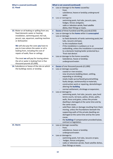| <b>What is covered (continued)</b><br>12. Flood                                                                                                                                                                                                                                                                                                                                                                                                                              | <b>What is not covered (continued)</b><br>Loss or damage to the home caused by:<br>frost;<br>subsidence, heave or landslip; underground<br>water.<br>Loss or damage to:<br>swimming pools, hot tubs, jacuzzis, spas,<br>hedges, fences and gates;<br>radio or television aerials, fixed satellite<br>dishes, their fittings or masts.                                                                                                                                                                                                                                                                                                                                                                                                                                                                                                                                                                                                                                              |
|------------------------------------------------------------------------------------------------------------------------------------------------------------------------------------------------------------------------------------------------------------------------------------------------------------------------------------------------------------------------------------------------------------------------------------------------------------------------------|------------------------------------------------------------------------------------------------------------------------------------------------------------------------------------------------------------------------------------------------------------------------------------------------------------------------------------------------------------------------------------------------------------------------------------------------------------------------------------------------------------------------------------------------------------------------------------------------------------------------------------------------------------------------------------------------------------------------------------------------------------------------------------------------------------------------------------------------------------------------------------------------------------------------------------------------------------------------------------|
| 13. Water or oil leaking or spilling from any<br>fixed domestic water or heating<br>installation, swimming pool, hot tub,<br>jacuzzi, spa, aquarium, washing machine<br>or dishwasher.<br>We will also pay the costs you have to<br>pay to trace where the water or oil is<br>leaking from, including the cost of<br>repairs of walls, floor or ceilings.<br>The most we will pay for tracing where<br>the oil or water is leaking from is five<br>thousand pounds (£5,000). | Excess of three hundred and fifty pounds (£350)<br>$\bullet$<br>Loss or damage to the home while it is unoccupied<br>$\bullet$<br>Loss or damage:<br>to fixed domestic oil tanks swimming pools, hot<br>tubs, Jacuzzis and spas;<br>to the installation itself;<br>if the installation is outdoors or in an<br>outbuilding, unless the installation is connected<br>to a domestic heating boiler protected by a<br>'frost-stat device'.<br>Loss or damage to the home caused by:<br>Subsidence, heave or landslip;<br>underground water.                                                                                                                                                                                                                                                                                                                                                                                                                                           |
| 14. Subsidence or heave of the site on which<br>the buildings stand, or landslip.                                                                                                                                                                                                                                                                                                                                                                                            | <b>Excess of one thousand pounds (£1,000)</b><br>$\bullet$<br>Loss or damage caused by:<br>coastal or river erosion;<br>new structures bedding down, settling,<br>expanding or shrinking;<br>newly made-up (surfaced) ground settling;<br>faulty design, workmanship or materials;<br>-<br>construction work or repairing, demolishing or<br>$\overline{\phantom{0}}$<br>altering the building<br>normal settlement, shrinkage or expansion;<br>Loss or damage to:<br>swimming pools, hot tubs, jacuzzis, spas, hard<br>tennis courts, terraces, patios, drives, paths,<br>walls, fence and gates, unless the private<br>dwelling is damaged at the same time and by<br>the same cause;<br>solid floor slabs or damage resulting from them<br>moving, unless the foundations beneath the<br>supporting walls of the private dwelling are<br>damaged at the same time and by the same<br>cause;<br>the <b>buildings</b> if compensation provided bylaw,<br>contract or legislation. |
| 15. Storm                                                                                                                                                                                                                                                                                                                                                                                                                                                                    | Loss or damage caused by:<br>frost;<br>subsidence, heave or landslip;<br>underground water.<br>Loss or damage to:<br>swimming pools, hot tubs, Jacuzzis orspas;<br>hedges, fences and gates;<br>radio or television aerials, fixed satellite dishes,<br>their fittings or masts.                                                                                                                                                                                                                                                                                                                                                                                                                                                                                                                                                                                                                                                                                                   |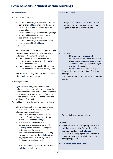# **Extra benefits included within buildings**

| <b>What is Covered</b>                                                                                                                                                                                                                                                                                                                                                                                                                                                                                                                                                                                       | <b>What is not covered</b>                                                                                                                                                                                                                                                                                                                                                                                                |
|--------------------------------------------------------------------------------------------------------------------------------------------------------------------------------------------------------------------------------------------------------------------------------------------------------------------------------------------------------------------------------------------------------------------------------------------------------------------------------------------------------------------------------------------------------------------------------------------------------------|---------------------------------------------------------------------------------------------------------------------------------------------------------------------------------------------------------------------------------------------------------------------------------------------------------------------------------------------------------------------------------------------------------------------------|
| Accidental breakage<br>1.                                                                                                                                                                                                                                                                                                                                                                                                                                                                                                                                                                                    |                                                                                                                                                                                                                                                                                                                                                                                                                           |
| Accidental breakage of fixed glass forming<br>part of the <b>buildings</b> (including the cost of<br>necessary boarding up before replacing<br>broken glass).<br>Accidental breakage of fixed sanitary fittings<br>Accidental breakage of ceramic glass in<br>$\bullet$<br>cooker hobs of built-in units.<br>Accidental breakage of fixed solar panels<br>forming part of the <b>buildings</b> .                                                                                                                                                                                                             | Damage to the home while it is unoccupied<br>Loss or damage to home caused bymelting,<br>$\bullet$<br>warping, distortion or tobacco burns.                                                                                                                                                                                                                                                                               |
| Loss of rent<br>2.                                                                                                                                                                                                                                                                                                                                                                                                                                                                                                                                                                                           |                                                                                                                                                                                                                                                                                                                                                                                                                           |
| While the home cannot be lived in as a result of<br>loss or damage covered by an insured event<br>under this section we will pay either:<br>rent you would have received from an<br>$\bullet$<br>existing tenant or tenants if the home<br>could have been lived in; or<br>rent you would have received if the home<br>$\bullet$<br>could have been let out as a holiday home.<br>The most we will pay is twenty percent (20%)<br>of the <b>buildings</b> sum insured.                                                                                                                                       | Loss of rent:<br>$\bullet$<br>if the home was unoccupied<br>immediately before the insured event;<br>arising from a tenant or tenants leaving<br>the home without giving notice to you<br>or your letting agents;<br>after the <b>home</b> can be lived in again.<br>Rent which is unpaid at the time of the loss or<br>$\bullet$<br>damage.<br>Costs, fees or charges you have to pay to letting<br>$\bullet$<br>agents. |
| 3. Selling the home                                                                                                                                                                                                                                                                                                                                                                                                                                                                                                                                                                                          |                                                                                                                                                                                                                                                                                                                                                                                                                           |
| If you sell the home, from the date you<br>exchange contracts we will give the buyer the<br>benefit of cover by this section unless the buyer<br>has arranged their own insurance. During this<br>period, the buyer must keep to the terms and<br>conditions of this policy.                                                                                                                                                                                                                                                                                                                                 |                                                                                                                                                                                                                                                                                                                                                                                                                           |
| Building fees and the cost of removing debris<br>4.                                                                                                                                                                                                                                                                                                                                                                                                                                                                                                                                                          |                                                                                                                                                                                                                                                                                                                                                                                                                           |
| After a claim, which is covered by an insured<br>event under this section we will pay the<br>following expenses or losses:<br>The cost of architects', surveyors', civil<br>engineers', solicitors' and other fees to<br>repair or rebuild the buildings.<br>The cost of removing debris and<br>demolishing or supporting parts of the<br>buildings which have been damaged in<br>order to make the site safe.<br>The extra costs of rebuilding or repairing<br>$\bullet$<br>the damaged parts of the <b>buildings</b> to meet<br>any regulations or laws set by Acts of<br>Parliament or local authorities. | Any costs for preparing a claim;<br>Any costs:<br>which relate to undamaged parts of the<br><b>buildings</b> , except the foundations of the<br>damaged parts of the buildings;<br>involved in meeting regulations and laws if<br>$\bullet$<br>notice was served on you before the loss or<br>damage happened;<br><b>What is not covered (continued)</b>                                                                  |
| The most we will pay is 12.5% of the                                                                                                                                                                                                                                                                                                                                                                                                                                                                                                                                                                         |                                                                                                                                                                                                                                                                                                                                                                                                                           |

**buildings** sum insured.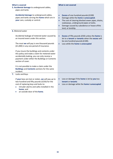| <b>What is covered</b><br>5. Accidental damage to underground cables,<br>pipes and tanks |                                                                                                                                                                                                    |                                                  | <b>What is not covered</b>                                                                                                                                                                                                                             |
|------------------------------------------------------------------------------------------|----------------------------------------------------------------------------------------------------------------------------------------------------------------------------------------------------|--------------------------------------------------|--------------------------------------------------------------------------------------------------------------------------------------------------------------------------------------------------------------------------------------------------------|
| your care, custody or control.                                                           | Accidental damage to underground cables,<br>pipes and tanks serving the home which are in                                                                                                          | $\bullet$<br>$\bullet$<br>$\bullet$<br>$\bullet$ | <b>Excess of one hundred pounds (£100)</b><br>Damage while the home is unoccupied.<br>The cost of clearing blocked sewer pipes, drains,<br>soakaways, underground pipes or tanks.<br>Damage caused by subsidence or heave of the<br>land, or landslip. |
| 6. Metered water                                                                         |                                                                                                                                                                                                    |                                                  |                                                                                                                                                                                                                                                        |
| an insured event under this section.                                                     | Accidental leakage of metered water caused by                                                                                                                                                      | $\bullet$                                        | <b>Excess of fifty pounds (£50) unless the home is</b><br>let to a tenant or tenants when the excess will<br>be one hundred pounds (£100).                                                                                                             |
| (£1,000) in any one period of insurance.                                                 | The most we will pay is one thousand pounds                                                                                                                                                        | $\bullet$                                        | Loss while the home is unoccupied                                                                                                                                                                                                                      |
| section of cover.                                                                        | If you insure the buildings and contents under<br>this policy and make a claim for metered water<br>accidentally leaking, you can only receive a<br>payment under either the Buildings or Contents |                                                  |                                                                                                                                                                                                                                                        |
| incident.                                                                                | It is not possible to make a claim under the<br><b>Buildings and Contents sections for the same</b>                                                                                                |                                                  |                                                                                                                                                                                                                                                        |
| 7.<br>Locks and Keys                                                                     |                                                                                                                                                                                                    |                                                  |                                                                                                                                                                                                                                                        |
| cost of replacing keys and locks to:<br>home; and<br>an outside door of the home.        | If your keys are lost or stolen, we will pay up to<br>two hundred and fifty pounds (£250) for the<br>intruder alarms and safes installed in the                                                    | $\bullet$                                        | Loss or damage if the home is let by you toa<br>tenant or tenants<br>Loss or damage while the home is unoccupied                                                                                                                                       |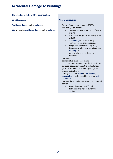## **Accidental Damage to Buildings**

**The schedule will show if this cover applies.** 

**What is covered**

**Accidental damage** to the **buildings.**

**We** will pay for **accidental damage** to the **buildings**.

#### **What is not covered**

- Excess of one hundred pounds (£100)
- Any damage caused by:
	- chewing, tearing, scratching or fouling by pets;
		- frost, the atmosphere, or fadingcaused by light;
	- the **buildings** moving, settling, shrinking, collapsing orcracking;
	- any process of cleaning, repairing, dyeing, renovating or maintaining the **buildings**; or
	- faulty workmanship, design or materials.
- Damage to:
	- domestic fuel tanks, hard tennis courts, swimming pools, hot tubs, jacuzzis, spas, terraces, patios, drives, paths, walls, fences, gates, roads, land, pavements, piers, jetties, bridges and culverts.
- Damage while the **home** is **unfurnished**, **unoccupied**, lent, let or sublet, or is not **selfcontained**.
- Damage shown under the 'What is not covered' part of:
	- 'Insured events 1 to 15'; and
	- 'Extra benefits included with this section.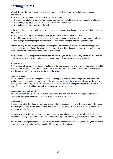# **Settling Claims**

**We** will decide whether to pay the cost of repairing or replacing the part of the **buildings** damaged or destroyed if:

- the sum insured is enough to pay to rebuild the**buildings**;
- the repair or rebuilding is carried out as soon as reasonably possible after **we** give **our** approval (other than emergency repairs, which should be carried out immediately);
- the **buildings** are in a good state of repair.

If the loss or damage to the **buildings** is not repaired or replaced as explained above, **we** will then decide to pay either:

- the cost of repairing or replacing the damage, less a deduction for wear and tear; or
- the difference between the rebuild value of the **home** immediately before the damage and its value after the damage providing **we** pay no more than the cost of rebuilding or reinstating the**buildings**.

**We** will not pay the cost of replacing any undamaged or unbroken item or parts of items forming part of a pair, set, suite or collection of the same type, colour or design if the damage happens to one particular area or to a specific part and replacements cannot be matched.

If **we** have discounted the premium for this section because **you** have not made any claims, **we** may reduce or remove the discount if **you** make a claim. The no claim discount is shown on the schedule.

#### **Sum insured**

The most **we** will pay under section one: Buildings is the sum insured shown on the schedule and adjusted in line with index-linking. This includes the extra expenses and fees listed under Extra benefit 4 'Building fees and the cost of removing debris' in section one: **Buildings**.

#### **Under-insurance**

If at the time of any loss or damage the cost of rebuilding the whole of the **buildings**, in a new condition similar in size, shape and form, is more than the sum insured for **buildings**, **we** will only pay for the loss or damage in the same proportion. For example, if the sum insured for **buildings** only covers two-thirds of the cost of rebuilding the **buildings**, **we** will only pay two-thirds of the claim.

#### **Maintaining the sum insured**

After **we** have settled a claim, **we** will automatically reinstate the sum insured, as long as **you** take any reasonable measures suggested to prevent any further loss or damage.

#### **Index linking**

The sum insured for **buildings** will be index-linked and will be adjusted in line with the changes in the House Rebuilding Cost Index produced by the Royal Institution of Chartered Surveyors or in line with any other index that **we** decide.

If **you** make a claim, index-linking will continue during the period when the repair or rebuilding is being carried out, as long as **you** take reasonable action for the repair or rebuilding to be carried out immediately.

**You** will not be charged for index-linking during the **period of insurance**. However, each time **your** insurance is renewed, a new premium will be calculated for the adjusted sum insured.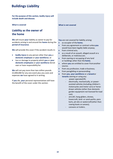## **Buildings Liability**

**For the purpose of this section, bodily injury will include death and disease.**

#### **What is covered**

## **Liability as the owner of the home**

**We** will insure **your** liability as owner to pay for accidents arising in and around the **home** during the **period of insurance**.

**We** will provide this cover if the accident results in:

- **bodily injury** to any person other than **you**,a **domestic employee** or **your workforce**; or
- loss or damage to property which **you** or **your domestic employees** or **your workforce** donot own or have responsibility for.

**We** will not pay more than two million pounds £2,000,000 for any one event plus any costs and expenses **we** have agreed to in writing.

If **you** die, **your** personal representatives will have the benefit of the cover under this section.

#### **What is not covered**

**You** are not covered for liability arising:

- as occupier of the **home**;
- from any agreement or contract unless**you** would have been legally liable anyway;
- from criminal acts:
- as a result of an assault, alleged assault ora deliberate, or malicious act;
- from owning or occupying of any land or buildings other than the **home**;
- where **you** are entitled to cover fromanother source;
- from any profession, trade or business;
- from paragliding or parascending;
- from **you**, **your workforce** or a **tenant**or **tenants** owning or using any:
	- power-operated lift;
	- electrically, mechanically, or powerassisted vehicles (including children's motorcycles and motor cars) or horsedrawn vehicles (other than domestic garden equipment not licensed forroad use);
	- aircraft, hang-gliders, drones, hovercraft, land- or sand-yachts, para karts, jet-skis or watercraft(other than rowing boats or canoes);
	- caravans or trailers.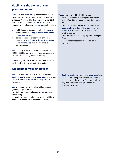## **Liability as the owner of your previous homes**

**We** will insure **your** liability under Section 3 of the Defective Premises Act 1972 or Section 5 of the Defective Premises (Northern Ireland) Order 1975 as owner of any previous **home**, for accidents happening in and around that **home** which result in:

- bodily injury to any person other than **you**, a member of **your family**, a **domesticemployee** or **your workforce**; or
- loss or damage to property which **you,** a member of **your family**, a **domesticemployee** or **your workforce** do not own or have responsibility for.

**We** will not pay more than two million pounds (£2,000,000) for any one event plus any costs and expenses **we** have agreed to in writing.

If **you** die, **your** personal representatives will have the benefit of the cover under thissection.

## **Accidents to your employees**

**We** will insure **your** liability to pay for accidental **bodily injury** to a member of **your workforce** arising in and around the **home** during the **period of insurance**

**We** will not pay more than five million pounds (£5,000,000) for any one

event plus any costs and expenses **we** have agreed to in writing.

If you die, **your** personal representatives will have the benefit of the cover under this section

**You** are not covered for liability arising:

- from an incident which happens over seven years after this insurance ends or the **home**was sold;
- from any cause for which **you**, a member of **your family**, or a **domestic employee** or **your workforce** are entitled to recover under another source:
- from the cost of correcting any fault or alleged fault;
- where a more recent insurance covers the liability.

• **Bodily injury** to any member of **your workforce** arising out of being carried in or on a vehicle Or entering or getting on or off a vehicles where any road traffic law says **you** must have insurance or security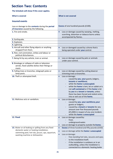## **Section Two: Contents**

| The Schedule will show if this cover applies.                                                                                                                                       |                                                                                                                                                                                                                                                                                                                                                                               |
|-------------------------------------------------------------------------------------------------------------------------------------------------------------------------------------|-------------------------------------------------------------------------------------------------------------------------------------------------------------------------------------------------------------------------------------------------------------------------------------------------------------------------------------------------------------------------------|
| <b>What is covered</b>                                                                                                                                                              | <b>What is not covered</b>                                                                                                                                                                                                                                                                                                                                                    |
| <b>Insured events</b>                                                                                                                                                               |                                                                                                                                                                                                                                                                                                                                                                               |
| Loss or damage to the contents during the period<br>of insurance caused by the following.                                                                                           | <b>Excess</b> of one hundred pounds (£100).                                                                                                                                                                                                                                                                                                                                   |
| 1. Fire and smoke.                                                                                                                                                                  | Loss or damage caused by warping, melting,<br>$\bullet$<br>scorching, distortion or tobacco burns unless<br>accompanied by flames.                                                                                                                                                                                                                                            |
| 2. Earthquake.                                                                                                                                                                      |                                                                                                                                                                                                                                                                                                                                                                               |
| 3. Explosion.                                                                                                                                                                       |                                                                                                                                                                                                                                                                                                                                                                               |
| 4. Lightning.                                                                                                                                                                       |                                                                                                                                                                                                                                                                                                                                                                               |
| 5. Aircraft and other flying objects or anything<br>dropped from them.                                                                                                              | Loss or damaged caused by a drone that is<br>$\bullet$<br>being operated under your control.                                                                                                                                                                                                                                                                                  |
| 6. Riot, civil commotion, strikes and labour or<br>political disturbances.                                                                                                          |                                                                                                                                                                                                                                                                                                                                                                               |
| 7. Being hit by any vehicle, train or animal.                                                                                                                                       | Loss or damage caused by pets or animals<br>$\bullet$<br>under your control.                                                                                                                                                                                                                                                                                                  |
| 8. Breakage or collapse of radio or television<br>aerials, fixed satellite dishes their fittings or<br>masts                                                                        |                                                                                                                                                                                                                                                                                                                                                                               |
| 9. Falling trees or branches, telegraph poles or<br>lamp posts.                                                                                                                     | Loss or damage caused by cutting down or<br>$\bullet$<br>trimming trees or branches.                                                                                                                                                                                                                                                                                          |
| 10. Theft or attempted theft.                                                                                                                                                       | Loss or damage:<br>$\bullet$<br>caused by you, your guests, lodgers,<br>tenants or workforce;<br>while the home is unoccupied;<br>while the home is lent, let or sublet or is<br>not self-contained or if the home is let<br>by you to a tenant or tenants, unless<br>there has been forced and violent entry<br>into or exit out of the home.                                |
| 11. Malicious acts or vandalism.                                                                                                                                                    | Loss or damage:<br>$\bullet$<br>caused by you, your workforce, your<br>guests or lodgers;<br>caused by a tenant or tenants for any<br>amount over five thousand pounds<br>(£5,000) in respect of any one incident.<br>while the home is unoccupied                                                                                                                            |
| 12. Flood                                                                                                                                                                           | Loss or damage caused by:<br>$\bullet$<br>frost;<br>underground water.<br>Loss or damage to property outside the home;<br>$\bullet$                                                                                                                                                                                                                                           |
| 13. Water or oil leaking or spilling from any fixed<br>domestic water or heating installation,<br>swimming pool, hot tub, jacuzzi, spa, aquarium,<br>washing machine or dishwasher. | <b>Excess</b> of three hundred and fifty pounds (£350)<br>$\bullet$<br>Loss or damage while the home is unoccupied<br>$\bullet$<br>Loss or damage:<br>$\bullet$<br>free standing hot tubs, Jacuzzis and spas;<br>to the installation itself;<br>if the installation is outdoors or in an<br>outbuilding, unless the installation is<br>connected to a domestic heating boiler |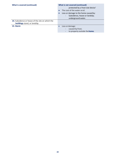| <b>What is covered (continued)</b>                                                | What is not covered (continued)                                                                |
|-----------------------------------------------------------------------------------|------------------------------------------------------------------------------------------------|
|                                                                                   | protected by a frost-stat device'                                                              |
|                                                                                   | The cost of the water or oil.                                                                  |
|                                                                                   | Loss or damage to the home caused by:                                                          |
|                                                                                   | Subsidence, heave or landslip;<br>$\overline{\phantom{a}}$                                     |
|                                                                                   | underground water.                                                                             |
| 14. Subsidence or heave of the site on which the<br>buildings stand, or landslip. |                                                                                                |
| 15. Storm                                                                         | Loss or damage:<br>$\bullet$<br>caused by frost;<br>-<br>to property outside the <b>home</b> . |
|                                                                                   |                                                                                                |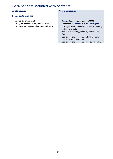## **Extra benefits included with contents**

#### **What is covered**

#### **1. Accidental breakage**

Accidental breakage of:

- glass tops and fixed glass infurniture;
- ceramic glass in cooker hobs; andmirrors.

**What is not covered**

- **Excess** of one hundred pounds(£100)
- Damage to the **home** while it is **unoccupied** Damage caused by chewing, tearing, scratching or fouling by pets.
- The cost of repairing, removing or replacing frames.
- Loss or damage caused by melting, warping, distortion and tobacco burns
- Loss or damage caused by over flowing baths.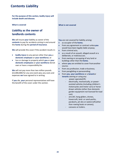## **Contents Liability**

**For the purpose of this section, bodily injury will include death and disease.**

#### **What is covered**

## **Liability as the owner of landlords contents**

**We** will insure **your** liability as owner of the **contents** to pay for accidents arising in and around the **home** during the **period of insurance**.

**We** will provide this cover if the accident results in:

- **bodily injury** to any person other than **you**,a **domestic employee** or **your workforce**; or
- loss or damage to property which **you** or **your domestic employees** or **your workforce** donot own or have a responsibility for.

**We** will not pay more than two million pounds (£2,000,000) for any one event plus any costs and expenses **we** have agreed to in writing.

If **you** die, **your** personal representatives will have the benefit of the cover under this section.

#### **What is not covered**

**You** are not covered for liability arising:

- as occupier of the **home**;
- from any agreement or contract unless**you** would have been legally liable anyway;
- from criminal acts:
- as a result of an assault, alleged assault ora deliberate, or malicious act;
- from owning or occupying of any land or buildings other than the **home**;
- where **you** are entitled to cover fromanother source;
- from any profession, trade or business;
- from paragliding or parascending;
- from **you**, **your workforce** or a **tenant**or **tenants** owning or using any:
	- power-operated lift;
	- electrically, mechanically, or powerassisted vehicles (including children's motorcycles and motor cars) or horsedrawn vehicles (other than domestic garden equipment not licensed forroad use);
	- aircraft, hang-gliders, drones, hovercraft, land- or sand-yachts, parakarts, jet-skis or watercraft(other than rowing boats or canoes);
	- caravans or trailers.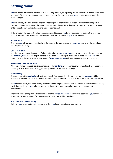## **Settling claims**

**We** will decide whether to pay the cost of repairing an item, or replacing it with a new item (in the same form and style) if it is lost or damaged beyond repair, except for clothing where **we** will take off an amount for wear and tear.

**We** will not pay the cost of replacing any undamaged or unbroken item or parts of items forming part of a pair, set, suite or collection of the same type, colour or design if the damage happens to one particular area or to a specific part and replacements cannot be matched.

If the premium for this section has been discounted because **you** have not made any claims, the premium may be reduced or removed and the acceptance criteria amended if **you** make a claim.

#### **Sum insured**

The most **we** will pay under section two: Contents is the sum insured for **contents** shown on the schedule, plus any index-linking.

#### **Under-insurance**

If at the time of loss or damage the full cost of replacing **your contents** as new is more than the sum insured for **contents**, **you** will have to pay a share of the claim. For example, if the sum insured for **contents** only covers two-thirds of the replacement value of **your contents**, **we** will only pay two-thirds of the claim.

#### **Maintaining the sums insured**

After a claim has been settled, the sums insured for **contents** will automatically be reinstated, as long as you take any reasonable measures suggested to prevent further loss or damage.

#### **Index linking**

The sum insured for **contents** will be index-linked. This means that the sum insured for **contents** will be adjusted in line with changes in the Durable Goods Price Index or in line with any other index that **we** decide.

If **you** make a claim, the index-linking will continue during the period when the repair or replacement is being carried out, as long as **you** take reasonable action for the repair or replacement to be carried out immediately.

There will be no charge for index-linking during the **period of insurance**. However, each time **your** insurance is renewed, a new premium for the adjusted sum insured will be calculated.

#### **Proof of value and ownership**

To help **you** make a claim, it is recommend that **you** keep receipts and guarantees.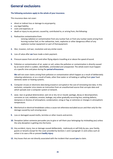## **General exclusions**

#### **The following exclusions apply to the whole of your insurance.**

This insurance does not cover:

- direct or indirect loss or damage to anyproperty;
- any legal liability;
- costs and expenses; or
- death or injury to any person; caused by, contributed to, or arising from, the following:
- **1.** Radioactive contamination from:
	- ionising radiation or contamination from any nuclear fuel, or from any nuclear waste arising from burning nuclear fuel; or the radioactive, toxic, explosive or other dangerous effect of any explosive nuclear equipment or part of thatequipment.
- **2.** War, invasion, civil war, revolution and any similar event.
- **3.** Loss of value after **we** have made a claim payment.
- **4.** Pressure waves from aircraft and other flying objects travelling at or above the speed ofsound.
- **5.** Pollution or contamination of air, water or soil, unless the pollution or contamination is directly caused by an event which is sudden, identifiable, unintended and unexpected. The whole event must happen at a specific time and place during the **period ofinsurance**.

**We** will not cover claims arising from pollution or contamination which happen as a result of deliberately releasing substances, or as a result of leaks, other than water or oil leaking or spilling from **your** fixed domestic water or heating systems.

- **6.** Computer viruses or electronic data being erased or corrupted or the cost of reinstating lost data. In this exclusion, computer virus means an instruction from an unauthorised source that corrupts data and which spreads over a computer system ornetwork.
- **7.** wear, tear or gradual deterioration; wet rot or dry rot or mould; spoilage, decay or decomposition; corrosion or rust; oxidation; erosion; leakage; any other gradually occurring loss; existing defects; dampness or dryness of atmosphere; condensation; smog or fog; or extremes or changes in atmospheric temperature.
- **8.** Mechanical or electrical breakdown unless a cause not otherwise excluded occurs and then only for the damage caused by such ensuing cause.
- **9.** Loss or damaged caused moths, termites or other insects and vermin.
- **10.** Deception (when someone persuades you to give or sell them your belongings by misleading you) unless the only deception is getting into the home.
- **11.** Any accident, injury, loss or damage caused deliberately , maliciously or will fully by you, your family, guests or tenants except for the cover provided by Sections 1 and 2 paragraph 11 and unless such an action is to save a life or prevent **bodily injury**
- **12.** Any losses that are not directly associated with the incident that caused **you** to claim.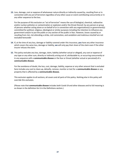**13.** Loss, damage, cost or expense of whatsoever nature directly or indirectly caused by, resulting from or in connection with any act of terrorism regardless of any other cause or event contributing concurrently or in any other sequence to the loss.

For the purpose of this exclusion an "act of terrorism" means the use of biological, chemical, radioactive and/or nuclear pollution or contamination or explosion and/or the threat thereof, by any person or group of persons whether acting alone or on behalf of or in connection with any organisation(s) or government(s) committed for political, religious, ideological or similar purposes including the intention to influence any government and/or to put the public or any section of the public in fear. However, losses caused by or resulting from riot, riot attending a strike, civil commotion, and vandalism and malicious mischief are not excluded hereunder

- **14.** If, at the time of any loss, damage or liability covered under this insurance, **you** have any other insurance which covers the same loss, damage or liability, **we** will only pay their share of the claim even if the other insurer refuses the claim.
- **15.** This policy excludes any loss, damage, claim, liability (whether actual or alleged), any cost or expense of any type or any other sum, directly or indirectly arising out of, attributable to, or occurring concurrently or in any sequence with a **communicable disease** or the fear or threat (whether actual or perceived) of a **communicable disease**.

For the avoidance of doubt, the loss, cost, damage, liability, expense or any other amount that is excluded here includes any cost to clean-up, detoxify, remove, monitor or test for a **communicable disease** or any property that is affected by a **communicable disease***.*

This exclusion applies to all sections, all covers and all parts of this policy. Nothing else in this policy will override this exclusion.

(Please note that **communicable disease** includes both Covid-19 and other diseases and its full meaning is as shown in the definition for it in the Definitions section.)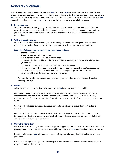## **General conditions**

The following conditions apply to the whole of **your** insurance. **You** and any other person entitled to benefit under this policy must keep to its terms, conditions and endorsements. If **you** do not keep to these conditions **we** may cancel the policy, refuse or withdraw from any claim if its non-compliance is relevant to the loss **you**  have suffered, claim back from **you**, costs paid by us during your claim or do all of the above.

#### **1. Reasonable care**

You must keep your property in a good condition and state of repair, and take all reasonable care to prevent loss or damage, accident, bodily injury or legal proceedings. If legal proceedings are under way, you must tell your broker immediately and take all reasonable steps to reduce the costs of these proceedings.

#### **2. Telling us about a change**

You must tell your broker immediately about any change in the information given to them which is relevant to this policy. If you do not, your policy may not be valid or may not cover you fully.

#### **Examples of changes you must make your broker aware of are;**

- change of address
- structural alterations to your home
- if your home will be unoccupied orunfurnished
- if you intend to let or sublet your home or your home is no longer occupied solely by you and your family
- if you no longer intend to use your home as your mainresidence
- if you or your family have been declared bankrupt or been subject to bankruptcy proceedings
- if you or your family have received a County Court Judgment, police caution or been convicted with any offence other than drivingoffences

We have the right to alter the premium, change any terms and conditions or cancel this policy following a change.

#### **3. Claims**

When there is a claim or possible claim, you must tell **us** in writing as soon as possible.

For loss or damage claims, you must provide (at your own expense) any documents, information and evidence that is requested. You must also tell the police immediately if the loss is caused by riot, malicious acts, theft or any attempted theft, or is being made as a result of loss of property outside your home.

You must take all reasonable steps to recover any lost property and to prevent any further loss or damage.

For liability claims, you must provide any statement of claim, legal process or other communication (without answering them) as soon as you receive it. Do not discuss, negotiate, pay, settle, admit or deny any claim without our written permission.

#### **4. Our rights after aclaim**

We may enter any building where loss or damage has happened, take possession of the insured damaged property, and deal with any salvage in a reasonable way. However, **you** must not abandon any property.

Before or after we pay **your** claim under this policy, they may take over, defend or settle any claim in your name.

We can also take proceedings, at their own expense and for their own benefit, to recover any payment they have made under this policy.